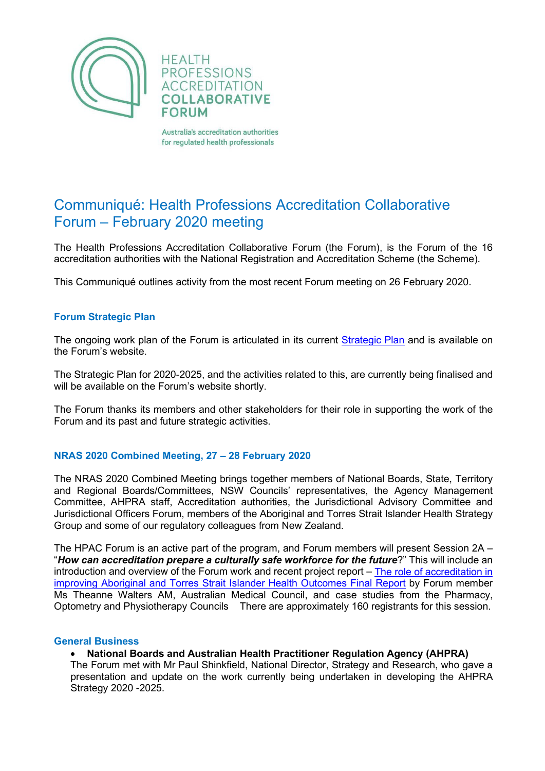

**HEALTH PROFESSIONS ACCREDITATION COLLABORATIVE FORUM** 

Australia's accreditation authorities for regulated health professionals

# Communiqué: Health Professions Accreditation Collaborative Forum – February 2020 meeting

The Health Professions Accreditation Collaborative Forum (the Forum), is the Forum of the 16 accreditation authorities with the National Registration and Accreditation Scheme (the Scheme).

This Communiqué outlines activity from the most recent Forum meeting on 26 February 2020.

## **Forum Strategic Plan**

The ongoing work plan of the Forum is articulated in its current [Strategic Plan](http://hpacf.org.au/about/) and is available on the Forum's website.

The Strategic Plan for 2020-2025, and the activities related to this, are currently being finalised and will be available on the Forum's website shortly.

The Forum thanks its members and other stakeholders for their role in supporting the work of the Forum and its past and future strategic activities.

## **NRAS 2020 Combined Meeting, 27 – 28 February 2020**

The NRAS 2020 Combined Meeting brings together members of National Boards, State, Territory and Regional Boards/Committees, NSW Councils' representatives, the Agency Management Committee, AHPRA staff, Accreditation authorities, the Jurisdictional Advisory Committee and Jurisdictional Officers Forum, members of the Aboriginal and Torres Strait Islander Health Strategy Group and some of our regulatory colleagues from New Zealand.

The HPAC Forum is an active part of the program, and Forum members will present Session 2A – "*How can accreditation prepare a culturally safe workforce for the future*?" This will include an introduction and overview of the Forum work and recent project report – The role of [accreditation](http://hpacf.org.au/wp-content/uploads/2022/04/The_role_of_accreditation_in_improving_Aboriginal_and_Torres_Strait_Islander_Health_Outcomes_Final_Report-2.pdf) in improving Aboriginal and Torres Strait Islander Health [Outcomes](http://hpacf.org.au/wp-content/uploads/2022/04/The_role_of_accreditation_in_improving_Aboriginal_and_Torres_Strait_Islander_Health_Outcomes_Final_Report-2.pdf) Final Report by Forum member Ms Theanne Walters AM, Australian Medical Council, and case studies from the Pharmacy, Optometry and Physiotherapy Councils There are approximately 160 registrants for this session.

#### **General Business**

## • **National Boards and Australian Health Practitioner Regulation Agency (AHPRA)**

The Forum met with Mr Paul Shinkfield, National Director, Strategy and Research, who gave a presentation and update on the work currently being undertaken in developing the AHPRA Strategy 2020 -2025.